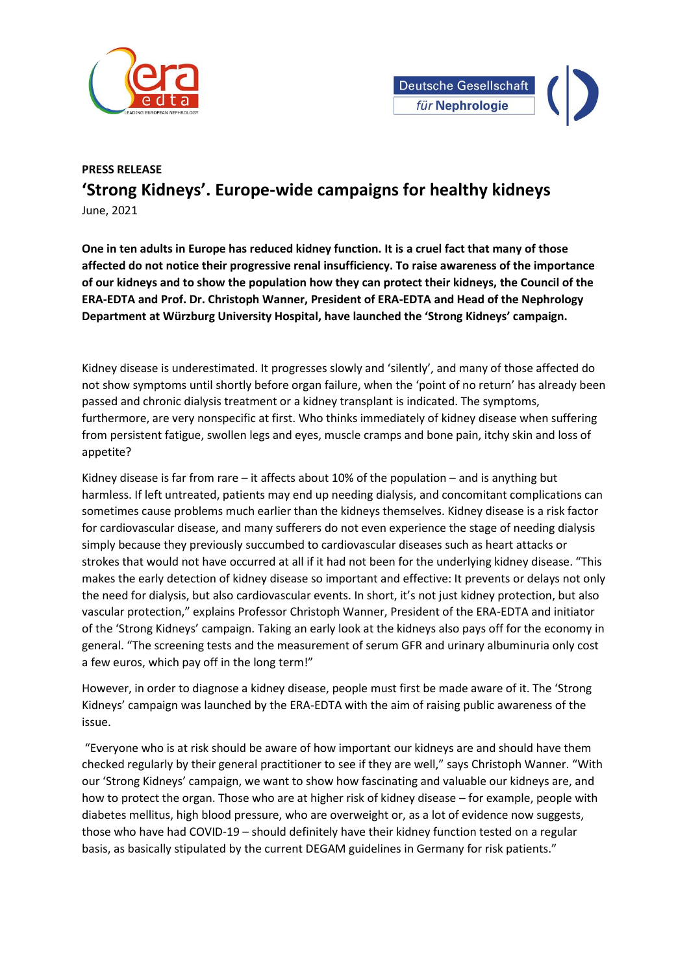



## **PRESS RELEASE 'Strong Kidneys'. Europe-wide campaigns for healthy kidneys** June, 2021

**One in ten adults in Europe has reduced kidney function. It is a cruel fact that many of those affected do not notice their progressive renal insufficiency. To raise awareness of the importance of our kidneys and to show the population how they can protect their kidneys, the Council of the ERA-EDTA and Prof. Dr. Christoph Wanner, President of ERA-EDTA and Head of the Nephrology Department at Würzburg University Hospital, have launched the 'Strong Kidneys' campaign.** 

Kidney disease is underestimated. It progresses slowly and 'silently', and many of those affected do not show symptoms until shortly before organ failure, when the 'point of no return' has already been passed and chronic dialysis treatment or a kidney transplant is indicated. The symptoms, furthermore, are very nonspecific at first. Who thinks immediately of kidney disease when suffering from persistent fatigue, swollen legs and eyes, muscle cramps and bone pain, itchy skin and loss of appetite?

Kidney disease is far from rare – it affects about 10% of the population – and is anything but harmless. If left untreated, patients may end up needing dialysis, and concomitant complications can sometimes cause problems much earlier than the kidneys themselves. Kidney disease is a risk factor for cardiovascular disease, and many sufferers do not even experience the stage of needing dialysis simply because they previously succumbed to cardiovascular diseases such as heart attacks or strokes that would not have occurred at all if it had not been for the underlying kidney disease. "This makes the early detection of kidney disease so important and effective: It prevents or delays not only the need for dialysis, but also cardiovascular events. In short, it's not just kidney protection, but also vascular protection," explains Professor Christoph Wanner, President of the ERA-EDTA and initiator of the 'Strong Kidneys' campaign. Taking an early look at the kidneys also pays off for the economy in general. "The screening tests and the measurement of serum GFR and urinary albuminuria only cost a few euros, which pay off in the long term!"

However, in order to diagnose a kidney disease, people must first be made aware of it. The 'Strong Kidneys' campaign was launched by the ERA-EDTA with the aim of raising public awareness of the issue.

"Everyone who is at risk should be aware of how important our kidneys are and should have them checked regularly by their general practitioner to see if they are well," says Christoph Wanner. "With our 'Strong Kidneys' campaign, we want to show how fascinating and valuable our kidneys are, and how to protect the organ. Those who are at higher risk of kidney disease – for example, people with diabetes mellitus, high blood pressure, who are overweight or, as a lot of evidence now suggests, those who have had COVID-19 – should definitely have their kidney function tested on a regular basis, as basically stipulated by the current DEGAM guidelines in Germany for risk patients."